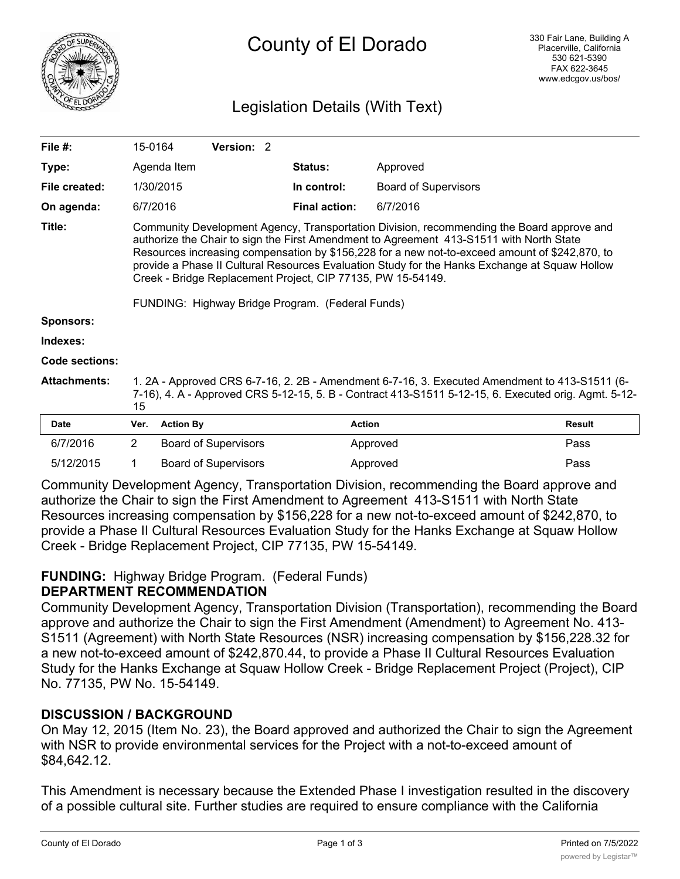

# Legislation Details (With Text)

| File $#$ :          |                                                                                                                                                                                                                                                                                                                                                                                                                                                                                                            | 15-0164          | Version: 2                  |  |                      |                             |               |
|---------------------|------------------------------------------------------------------------------------------------------------------------------------------------------------------------------------------------------------------------------------------------------------------------------------------------------------------------------------------------------------------------------------------------------------------------------------------------------------------------------------------------------------|------------------|-----------------------------|--|----------------------|-----------------------------|---------------|
| Type:               |                                                                                                                                                                                                                                                                                                                                                                                                                                                                                                            | Agenda Item      |                             |  | <b>Status:</b>       | Approved                    |               |
| File created:       |                                                                                                                                                                                                                                                                                                                                                                                                                                                                                                            | 1/30/2015        |                             |  | In control:          | <b>Board of Supervisors</b> |               |
| On agenda:          |                                                                                                                                                                                                                                                                                                                                                                                                                                                                                                            | 6/7/2016         |                             |  | <b>Final action:</b> | 6/7/2016                    |               |
| Title:              | Community Development Agency, Transportation Division, recommending the Board approve and<br>authorize the Chair to sign the First Amendment to Agreement 413-S1511 with North State<br>Resources increasing compensation by \$156,228 for a new not-to-exceed amount of \$242,870, to<br>provide a Phase II Cultural Resources Evaluation Study for the Hanks Exchange at Squaw Hollow<br>Creek - Bridge Replacement Project, CIP 77135, PW 15-54149.<br>FUNDING: Highway Bridge Program. (Federal Funds) |                  |                             |  |                      |                             |               |
| <b>Sponsors:</b>    |                                                                                                                                                                                                                                                                                                                                                                                                                                                                                                            |                  |                             |  |                      |                             |               |
| Indexes:            |                                                                                                                                                                                                                                                                                                                                                                                                                                                                                                            |                  |                             |  |                      |                             |               |
| Code sections:      |                                                                                                                                                                                                                                                                                                                                                                                                                                                                                                            |                  |                             |  |                      |                             |               |
| <b>Attachments:</b> | 1. 2A - Approved CRS 6-7-16, 2. 2B - Amendment 6-7-16, 3. Executed Amendment to 413-S1511 (6-<br>7-16), 4. A - Approved CRS 5-12-15, 5. B - Contract 413-S1511 5-12-15, 6. Executed orig. Agmt. 5-12-<br>15                                                                                                                                                                                                                                                                                                |                  |                             |  |                      |                             |               |
| <b>Date</b>         | Ver.                                                                                                                                                                                                                                                                                                                                                                                                                                                                                                       | <b>Action By</b> |                             |  | <b>Action</b>        |                             | <b>Result</b> |
| 6/7/2016            | $\overline{2}$                                                                                                                                                                                                                                                                                                                                                                                                                                                                                             |                  | <b>Board of Supervisors</b> |  |                      | Approved                    | Pass          |
| 5/12/2015           |                                                                                                                                                                                                                                                                                                                                                                                                                                                                                                            |                  | <b>Board of Supervisors</b> |  |                      | Approved                    | Pass          |

Community Development Agency, Transportation Division, recommending the Board approve and authorize the Chair to sign the First Amendment to Agreement 413-S1511 with North State Resources increasing compensation by \$156,228 for a new not-to-exceed amount of \$242,870, to provide a Phase II Cultural Resources Evaluation Study for the Hanks Exchange at Squaw Hollow Creek - Bridge Replacement Project, CIP 77135, PW 15-54149.

#### **FUNDING:** Highway Bridge Program. (Federal Funds) **DEPARTMENT RECOMMENDATION**

Community Development Agency, Transportation Division (Transportation), recommending the Board approve and authorize the Chair to sign the First Amendment (Amendment) to Agreement No. 413- S1511 (Agreement) with North State Resources (NSR) increasing compensation by \$156,228.32 for a new not-to-exceed amount of \$242,870.44, to provide a Phase II Cultural Resources Evaluation Study for the Hanks Exchange at Squaw Hollow Creek - Bridge Replacement Project (Project), CIP No. 77135, PW No. 15-54149.

## **DISCUSSION / BACKGROUND**

On May 12, 2015 (Item No. 23), the Board approved and authorized the Chair to sign the Agreement with NSR to provide environmental services for the Project with a not-to-exceed amount of \$84,642.12.

This Amendment is necessary because the Extended Phase I investigation resulted in the discovery of a possible cultural site. Further studies are required to ensure compliance with the California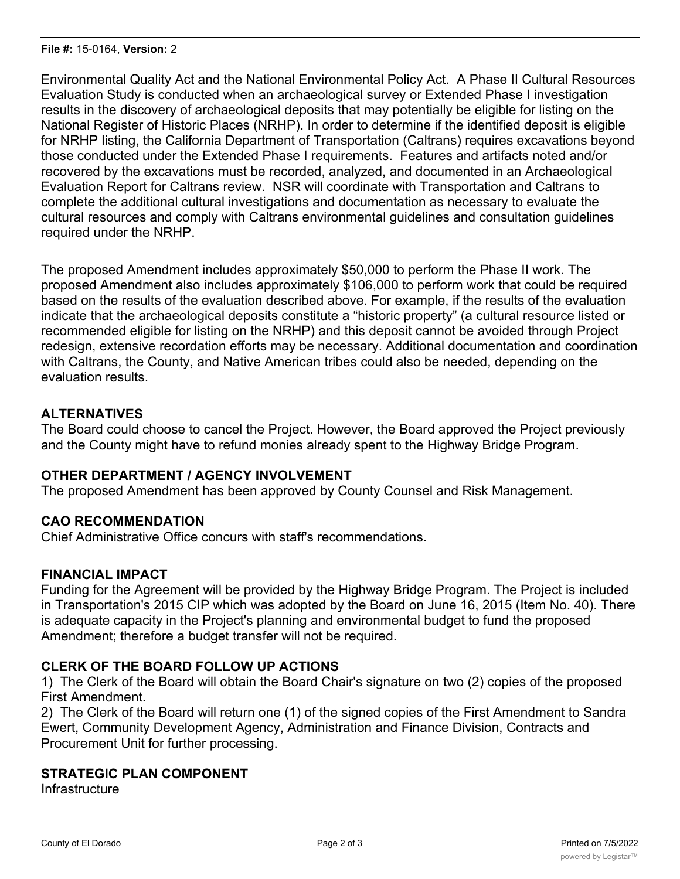Environmental Quality Act and the National Environmental Policy Act. A Phase II Cultural Resources Evaluation Study is conducted when an archaeological survey or Extended Phase I investigation results in the discovery of archaeological deposits that may potentially be eligible for listing on the National Register of Historic Places (NRHP). In order to determine if the identified deposit is eligible for NRHP listing, the California Department of Transportation (Caltrans) requires excavations beyond those conducted under the Extended Phase I requirements. Features and artifacts noted and/or recovered by the excavations must be recorded, analyzed, and documented in an Archaeological Evaluation Report for Caltrans review. NSR will coordinate with Transportation and Caltrans to complete the additional cultural investigations and documentation as necessary to evaluate the cultural resources and comply with Caltrans environmental guidelines and consultation guidelines required under the NRHP.

The proposed Amendment includes approximately \$50,000 to perform the Phase II work. The proposed Amendment also includes approximately \$106,000 to perform work that could be required based on the results of the evaluation described above. For example, if the results of the evaluation indicate that the archaeological deposits constitute a "historic property" (a cultural resource listed or recommended eligible for listing on the NRHP) and this deposit cannot be avoided through Project redesign, extensive recordation efforts may be necessary. Additional documentation and coordination with Caltrans, the County, and Native American tribes could also be needed, depending on the evaluation results.

## **ALTERNATIVES**

The Board could choose to cancel the Project. However, the Board approved the Project previously and the County might have to refund monies already spent to the Highway Bridge Program.

### **OTHER DEPARTMENT / AGENCY INVOLVEMENT**

The proposed Amendment has been approved by County Counsel and Risk Management.

### **CAO RECOMMENDATION**

Chief Administrative Office concurs with staff's recommendations.

### **FINANCIAL IMPACT**

Funding for the Agreement will be provided by the Highway Bridge Program. The Project is included in Transportation's 2015 CIP which was adopted by the Board on June 16, 2015 (Item No. 40). There is adequate capacity in the Project's planning and environmental budget to fund the proposed Amendment; therefore a budget transfer will not be required.

### **CLERK OF THE BOARD FOLLOW UP ACTIONS**

1) The Clerk of the Board will obtain the Board Chair's signature on two (2) copies of the proposed First Amendment.

2) The Clerk of the Board will return one (1) of the signed copies of the First Amendment to Sandra Ewert, Community Development Agency, Administration and Finance Division, Contracts and Procurement Unit for further processing.

### **STRATEGIC PLAN COMPONENT**

**Infrastructure**